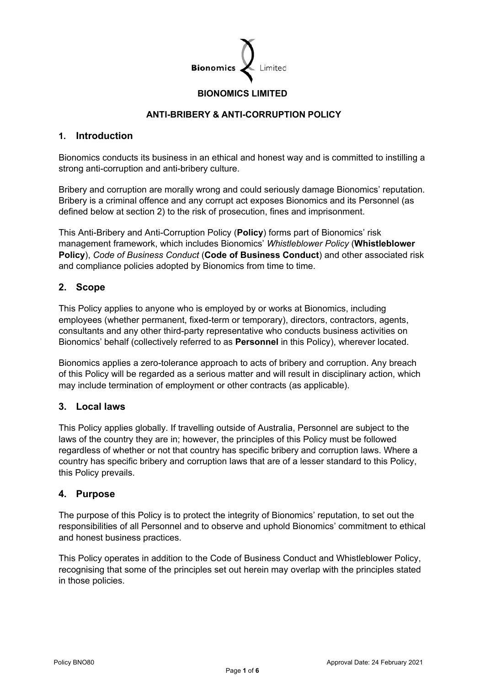

### **BIONOMICS LIMITED**

#### **ANTI-BRIBERY & ANTI-CORRUPTION POLICY**

#### **1. Introduction**

Bionomics conducts its business in an ethical and honest way and is committed to instilling a strong anti-corruption and anti-bribery culture.

Bribery and corruption are morally wrong and could seriously damage Bionomics' reputation. Bribery is a criminal offence and any corrupt act exposes Bionomics and its Personnel (as defined below at section [2\)](#page-0-0) to the risk of prosecution, fines and imprisonment.

This Anti-Bribery and Anti-Corruption Policy (**Policy**) forms part of Bionomics' risk management framework, which includes Bionomics' *Whistleblower Policy* (**Whistleblower Policy**), *Code of Business Conduct* (**Code of Business Conduct**) and other associated risk and compliance policies adopted by Bionomics from time to time.

#### <span id="page-0-0"></span>**2. Scope**

This Policy applies to anyone who is employed by or works at Bionomics, including employees (whether permanent, fixed-term or temporary), directors, contractors, agents, consultants and any other third-party representative who conducts business activities on Bionomics' behalf (collectively referred to as **Personnel** in this Policy), wherever located.

Bionomics applies a zero-tolerance approach to acts of bribery and corruption. Any breach of this Policy will be regarded as a serious matter and will result in disciplinary action, which may include termination of employment or other contracts (as applicable).

#### **3. Local laws**

This Policy applies globally. If travelling outside of Australia, Personnel are subject to the laws of the country they are in; however, the principles of this Policy must be followed regardless of whether or not that country has specific bribery and corruption laws. Where a country has specific bribery and corruption laws that are of a lesser standard to this Policy, this Policy prevails.

#### **4. Purpose**

The purpose of this Policy is to protect the integrity of Bionomics' reputation, to set out the responsibilities of all Personnel and to observe and uphold Bionomics' commitment to ethical and honest business practices.

This Policy operates in addition to the Code of Business Conduct and Whistleblower Policy, recognising that some of the principles set out herein may overlap with the principles stated in those policies.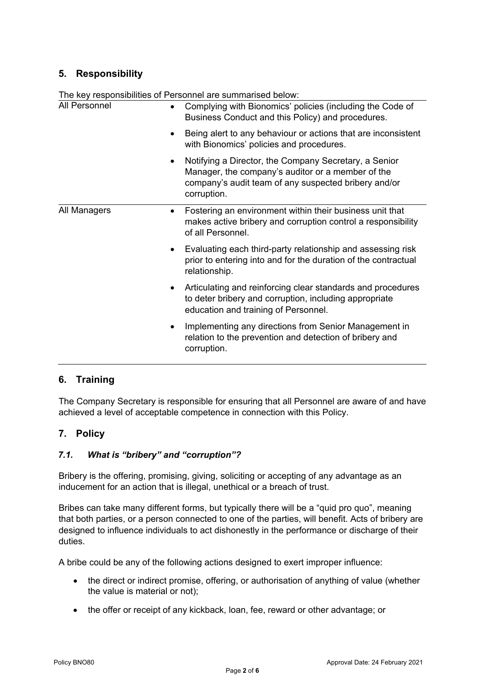# **5. Responsibility**

| The key responsibilities of Personnel are summarised below: |                                                                                                                                                                                   |
|-------------------------------------------------------------|-----------------------------------------------------------------------------------------------------------------------------------------------------------------------------------|
| All Personnel<br>٠<br>٠<br>٠                                | Complying with Bionomics' policies (including the Code of<br>Business Conduct and this Policy) and procedures.                                                                    |
|                                                             | Being alert to any behaviour or actions that are inconsistent<br>with Bionomics' policies and procedures.                                                                         |
|                                                             | Notifying a Director, the Company Secretary, a Senior<br>Manager, the company's auditor or a member of the<br>company's audit team of any suspected bribery and/or<br>corruption. |
| All Managers<br>$\bullet$<br>٠<br>$\bullet$<br>٠            | Fostering an environment within their business unit that<br>makes active bribery and corruption control a responsibility<br>of all Personnel.                                     |
|                                                             | Evaluating each third-party relationship and assessing risk<br>prior to entering into and for the duration of the contractual<br>relationship.                                    |
|                                                             | Articulating and reinforcing clear standards and procedures<br>to deter bribery and corruption, including appropriate<br>education and training of Personnel.                     |
|                                                             | Implementing any directions from Senior Management in<br>relation to the prevention and detection of bribery and<br>corruption.                                                   |

# **6. Training**

The Company Secretary is responsible for ensuring that all Personnel are aware of and have achieved a level of acceptable competence in connection with this Policy.

# **7. Policy**

## *7.1. What is "bribery" and "corruption"?*

Bribery is the offering, promising, giving, soliciting or accepting of any advantage as an inducement for an action that is illegal, unethical or a breach of trust.

Bribes can take many different forms, but typically there will be a "quid pro quo", meaning that both parties, or a person connected to one of the parties, will benefit. Acts of bribery are designed to influence individuals to act dishonestly in the performance or discharge of their duties.

A bribe could be any of the following actions designed to exert improper influence:

- the direct or indirect promise, offering, or authorisation of anything of value (whether the value is material or not);
- the offer or receipt of any kickback, loan, fee, reward or other advantage; or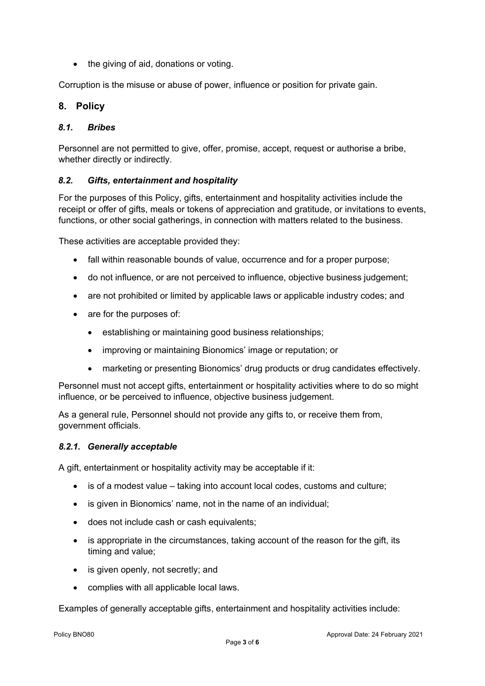• the giving of aid, donations or voting.

Corruption is the misuse or abuse of power, influence or position for private gain.

## **8. Policy**

#### *8.1. Bribes*

Personnel are not permitted to give, offer, promise, accept, request or authorise a bribe, whether directly or indirectly.

#### *8.2. Gifts, entertainment and hospitality*

For the purposes of this Policy, gifts, entertainment and hospitality activities include the receipt or offer of gifts, meals or tokens of appreciation and gratitude, or invitations to events, functions, or other social gatherings, in connection with matters related to the business.

These activities are acceptable provided they:

- fall within reasonable bounds of value, occurrence and for a proper purpose;
- do not influence, or are not perceived to influence, objective business judgement;
- are not prohibited or limited by applicable laws or applicable industry codes; and
- are for the purposes of:
	- establishing or maintaining good business relationships;
	- improving or maintaining Bionomics' image or reputation; or
	- marketing or presenting Bionomics' drug products or drug candidates effectively.

Personnel must not accept gifts, entertainment or hospitality activities where to do so might influence, or be perceived to influence, objective business judgement.

As a general rule, Personnel should not provide any gifts to, or receive them from, government officials.

#### *8.2.1. Generally acceptable*

A gift, entertainment or hospitality activity may be acceptable if it:

- is of a modest value taking into account local codes, customs and culture;
- is given in Bionomics' name, not in the name of an individual;
- does not include cash or cash equivalents;
- is appropriate in the circumstances, taking account of the reason for the gift, its timing and value;
- is given openly, not secretly; and
- complies with all applicable local laws.

Examples of generally acceptable gifts, entertainment and hospitality activities include: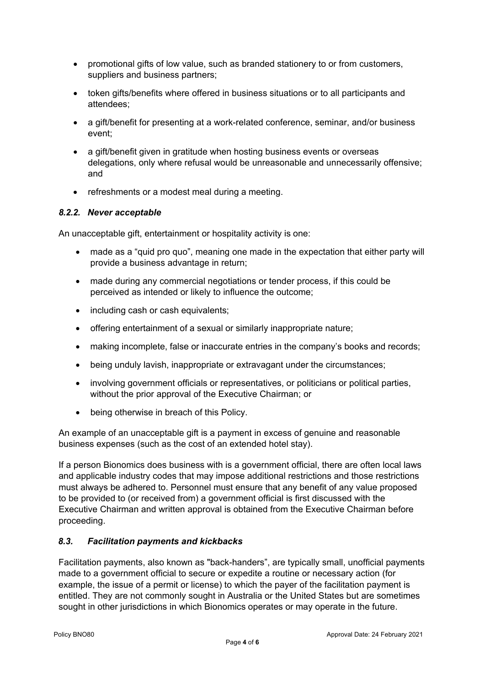- promotional gifts of low value, such as branded stationery to or from customers, suppliers and business partners;
- token gifts/benefits where offered in business situations or to all participants and attendees;
- a gift/benefit for presenting at a work-related conference, seminar, and/or business event;
- a gift/benefit given in gratitude when hosting business events or overseas delegations, only where refusal would be unreasonable and unnecessarily offensive; and
- refreshments or a modest meal during a meeting.

#### *8.2.2. Never acceptable*

An unacceptable gift, entertainment or hospitality activity is one:

- made as a "quid pro quo", meaning one made in the expectation that either party will provide a business advantage in return;
- made during any commercial negotiations or tender process, if this could be perceived as intended or likely to influence the outcome;
- including cash or cash equivalents;
- offering entertainment of a sexual or similarly inappropriate nature;
- making incomplete, false or inaccurate entries in the company's books and records;
- being unduly lavish, inappropriate or extravagant under the circumstances;
- involving government officials or representatives, or politicians or political parties, without the prior approval of the Executive Chairman; or
- being otherwise in breach of this Policy.

An example of an unacceptable gift is a payment in excess of genuine and reasonable business expenses (such as the cost of an extended hotel stay).

If a person Bionomics does business with is a government official, there are often local laws and applicable industry codes that may impose additional restrictions and those restrictions must always be adhered to. Personnel must ensure that any benefit of any value proposed to be provided to (or received from) a government official is first discussed with the Executive Chairman and written approval is obtained from the Executive Chairman before proceeding.

## *8.3. Facilitation payments and kickbacks*

Facilitation payments, also known as "back-handers", are typically small, unofficial payments made to a government official to secure or expedite a routine or necessary action (for example, the issue of a permit or license) to which the payer of the facilitation payment is entitled. They are not commonly sought in Australia or the United States but are sometimes sought in other jurisdictions in which Bionomics operates or may operate in the future.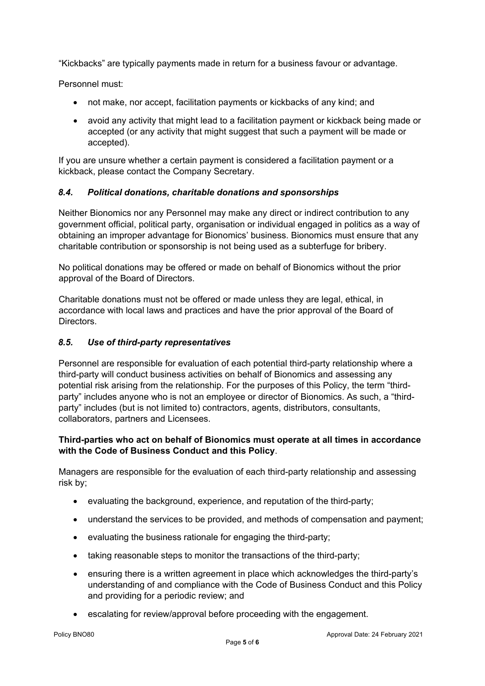"Kickbacks" are typically payments made in return for a business favour or advantage.

Personnel must:

- not make, nor accept, facilitation payments or kickbacks of any kind; and
- avoid any activity that might lead to a facilitation payment or kickback being made or accepted (or any activity that might suggest that such a payment will be made or accepted).

If you are unsure whether a certain payment is considered a facilitation payment or a kickback, please contact the Company Secretary.

#### *8.4. Political donations, charitable donations and sponsorships*

Neither Bionomics nor any Personnel may make any direct or indirect contribution to any government official, political party, organisation or individual engaged in politics as a way of obtaining an improper advantage for Bionomics' business. Bionomics must ensure that any charitable contribution or sponsorship is not being used as a subterfuge for bribery.

No political donations may be offered or made on behalf of Bionomics without the prior approval of the Board of Directors.

Charitable donations must not be offered or made unless they are legal, ethical, in accordance with local laws and practices and have the prior approval of the Board of Directors.

#### *8.5. Use of third-party representatives*

Personnel are responsible for evaluation of each potential third-party relationship where a third-party will conduct business activities on behalf of Bionomics and assessing any potential risk arising from the relationship. For the purposes of this Policy, the term "thirdparty" includes anyone who is not an employee or director of Bionomics. As such, a "thirdparty" includes (but is not limited to) contractors, agents, distributors, consultants, collaborators, partners and Licensees.

#### **Third-parties who act on behalf of Bionomics must operate at all times in accordance with the Code of Business Conduct and this Policy**.

Managers are responsible for the evaluation of each third-party relationship and assessing risk by;

- evaluating the background, experience, and reputation of the third-party;
- understand the services to be provided, and methods of compensation and payment;
- evaluating the business rationale for engaging the third-party;
- taking reasonable steps to monitor the transactions of the third-party;
- ensuring there is a written agreement in place which acknowledges the third-party's understanding of and compliance with the Code of Business Conduct and this Policy and providing for a periodic review; and
- escalating for review/approval before proceeding with the engagement.